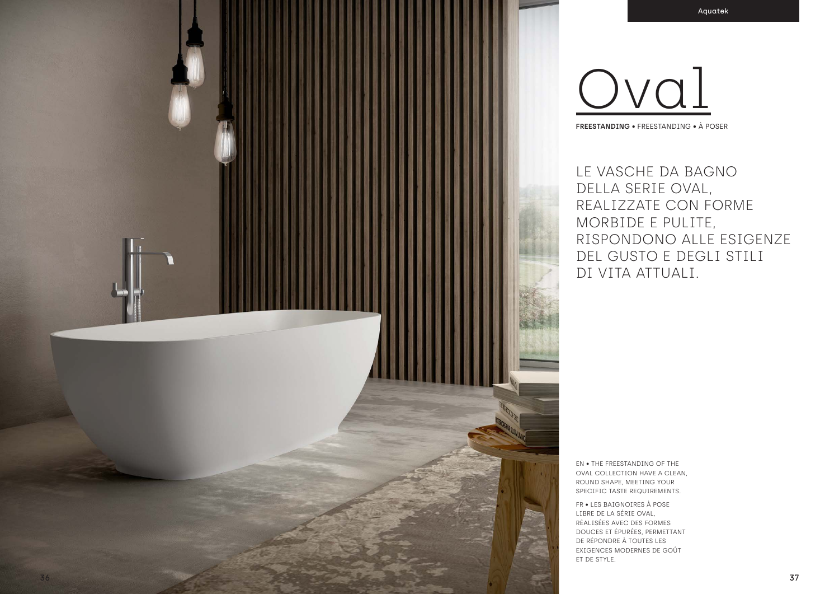LE VASCHE DA BAGNO DELLA SERIE OVAL, REALIZZATE CON FORME MORBIDE E PULITE, RISPONDONO ALLE ESIGENZE DEL GUSTO E DEGLI STILI DI VITA ATTUALI.

EN • THE FREESTANDING OF THE OVAL COLLECTION HAVE A CLEAN, ROUND SHAPE, MEETING YOUR SPECIFIC TASTE REQUIREMENTS. FR • LES BAIGNOIRES À POSE LIBRE DE LA SÉRIE OVAL, RÉALISÉES AVEC DES FORMES DOUCES ET ÉPURÉES, PERMETTANT DE RÉPONDRE À TOUTES LES EXIGENCES MODERNES DE GOÛT ET DE STYLE.

Oval **FREESTANDING** • FREESTANDING • À POSER



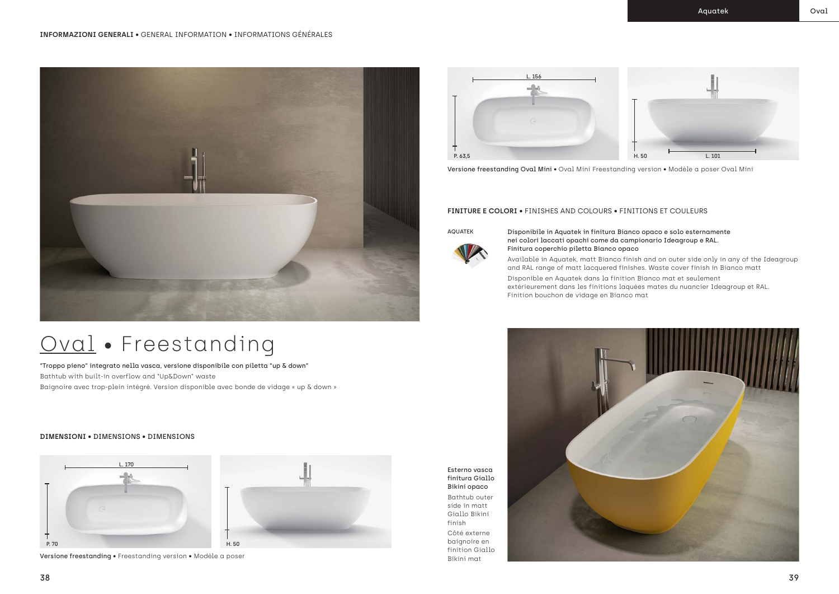

"Troppo pieno" integrato nella vasca, versione disponibile con piletta "up & down" Bathtub with built-in overflow and "Up&Down" waste Baignoire avec trop-plein intégré. Version disponible avec bonde de vidage « up & down »

### **DIMENSIONI** • DIMENSIONS • DIMENSIONS



Versione freestanding • Freestanding version • Modèle a poser





Versione freestanding Oval Mini • Oval Mini Freestanding version • Modèle a poser Oval Mini

## Oval • Freestanding

### AQUATEK Disponibile in Aquatek in finitura Bianco opaco e solo esternamente

nei colori laccati opachi come da campionario Ideagroup e RAL. Finitura coperchio piletta Bianco opaco Disponible en Aquatek dans la finition Bianco mat et seulement Finition bouchon de vidage en Bianco mat

- Available in Aquatek, matt Bianco finish and on outer side only in any of the Ideagroup and RAL range of matt lacquered finishes. Waste cover finish in Bianco matt
	-
- extérieurement dans les finitions laquées mates du nuancier Ideagroup et RAL.



### **FINITURE E COLORI** • FINISHES AND COLOURS • FINITIONS ET COULEURS





Bathtub outer side in matt Giallo Bikini finish

Côté externe baignoire en finition Giallo Bikini mat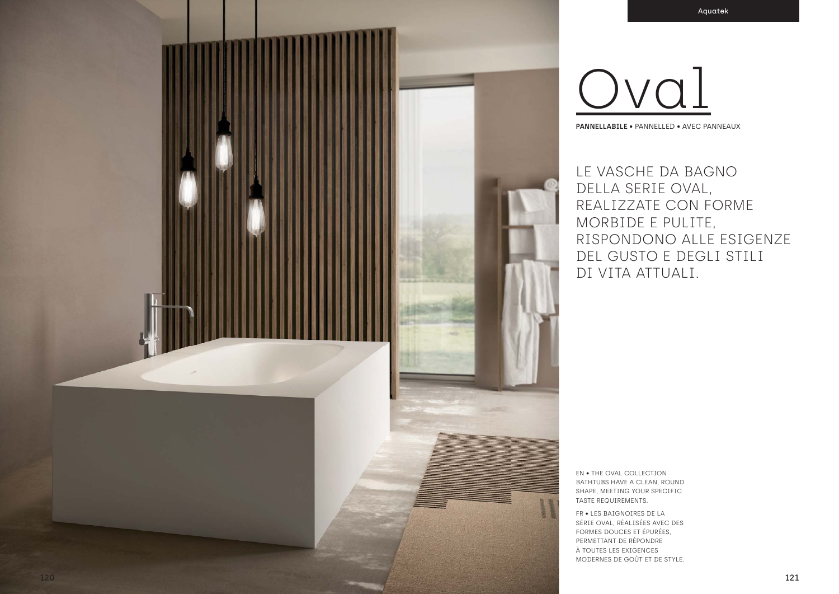

FR . LES BAIGNOIRES DE LA SÉRIE OVAL, RÉALISÉES AVEC DES FORMES DOUCES ET ÉPURÉES. PERMETTANT DE RÉPONDRE À TOUTES LES EXIGENCES MODERNES DE GOÛT ET DE STYLE.



PANNELLABILE . PANNELLED . AVEC PANNEAUX

LE VASCHE DA BAGNO DELLA SERIE OVAL, REALIZZATE CON FORME MORBIDE E PULITE, RISPONDONO ALLE ESIGENZE DEL GUSTO E DEGLI STILI DI VITA ATTUALI.

**EN • THE OVAL COLLECTION** BATHTUBS HAVE A CLEAN, ROUND SHAPE, MEETING YOUR SPECIFIC